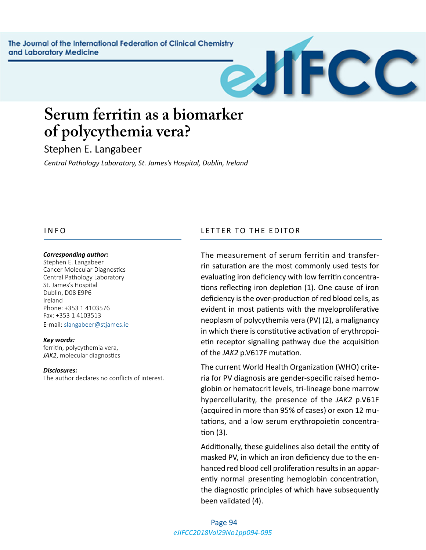The Journal of the International Federation of Clinical Chemistry and Laboratory Medicine



# **Serum ferritin as a biomarker of polycythemia vera?**

Stephen E. Langabeer

*Central Pathology Laboratory, St. James's Hospital, Dublin, Ireland*

#### *Corresponding author:*

Stephen E. Langabeer Cancer Molecular Diagnostics Central Pathology Laboratory St. James's Hospital Dublin, D08 E9P6 Ireland Phone: +353 1 4103576 Fax: +353 1 4103513 E-mail: [slangabeer@stjames.ie](mailto:slangabeer@stjames.ie)

*Key words:* ferritin, polycythemia vera, *JAK2*, molecular diagnostics

#### *Disclosures:*

The author declares no conflicts of interest.

## INFO LETTER TO THE EDITOR

The measurement of serum ferritin and transferrin saturation are the most commonly used tests for evaluating iron deficiency with low ferritin concentrations reflecting iron depletion (1). One cause of iron deficiency is the over-production of red blood cells, as evident in most patients with the myeloproliferative neoplasm of polycythemia vera (PV) (2), a malignancy in which there is constitutive activation of erythropoietin receptor signalling pathway due the acquisition of the *JAK2* p.V617F mutation.

The current World Health Organization (WHO) criteria for PV diagnosis are gender-specific raised hemoglobin or hematocrit levels, tri-lineage bone marrow hypercellularity, the presence of the *JAK2* p.V61F (acquired in more than 95% of cases) or exon 12 mutations, and a low serum erythropoietin concentration (3).

Additionally, these guidelines also detail the entity of masked PV, in which an iron deficiency due to the enhanced red blood cell proliferation results in an apparently normal presenting hemoglobin concentration, the diagnostic principles of which have subsequently been validated (4).